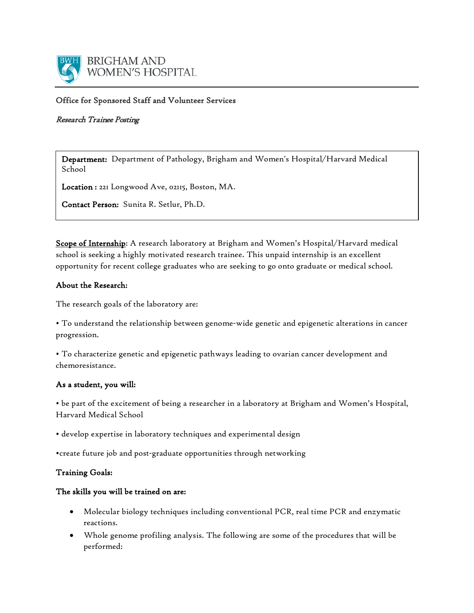

## Office for Sponsored Staff and Volunteer Services

### Research Trainee Posting

Department: Department of Pathology, Brigham and Women's Hospital/Harvard Medical School

Location : 221 Longwood Ave, 02115, Boston, MA.

Contact Person: Sunita R. Setlur, Ph.D.

Scope of Internship: A research laboratory at Brigham and Women's Hospital/Harvard medical school is seeking a highly motivated research trainee. This unpaid internship is an excellent opportunity for recent college graduates who are seeking to go onto graduate or medical school.

## About the Research:

The research goals of the laboratory are:

• To understand the relationship between genome-wide genetic and epigenetic alterations in cancer progression.

• To characterize genetic and epigenetic pathways leading to ovarian cancer development and chemoresistance.

#### As a student, you will:

• be part of the excitement of being a researcher in a laboratory at Brigham and Women's Hospital, Harvard Medical School

• develop expertise in laboratory techniques and experimental design

•create future job and post-graduate opportunities through networking

## Training Goals:

## The skills you will be trained on are:

- Molecular biology techniques including conventional PCR, real time PCR and enzymatic reactions.
- Whole genome profiling analysis. The following are some of the procedures that will be performed: